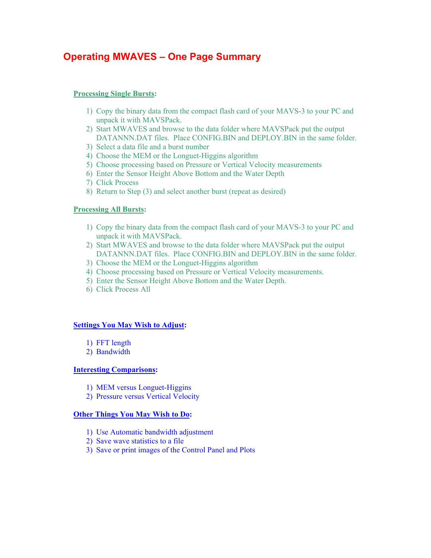# **Operating MWAVES – One Page Summary**

## **Processing Single Bursts:**

- 1) Copy the binary data from the compact flash card of your MAVS-3 to your PC and unpack it with MAVSPack.
- 2) Start MWAVES and browse to the data folder where MAVSPack put the output DATANNN.DAT files. Place CONFIG.BIN and DEPLOY.BIN in the same folder.
- 3) Select a data file and a burst number
- 4) Choose the MEM or the Longuet-Higgins algorithm
- 5) Choose processing based on Pressure or Vertical Velocity measurements
- 6) Enter the Sensor Height Above Bottom and the Water Depth
- 7) Click Process
- 8) Return to Step (3) and select another burst (repeat as desired)

## **Processing All Bursts:**

- 1) Copy the binary data from the compact flash card of your MAVS-3 to your PC and unpack it with MAVSPack.
- 2) Start MWAVES and browse to the data folder where MAVSPack put the output DATANNN.DAT files. Place CONFIG.BIN and DEPLOY.BIN in the same folder.
- 3) Choose the MEM or the Longuet-Higgins algorithm
- 4) Choose processing based on Pressure or Vertical Velocity measurements.
- 5) Enter the Sensor Height Above Bottom and the Water Depth.
- 6) Click Process All

#### **Settings You May Wish to Adjust:**

- 1) FFT length
- 2) Bandwidth

#### **Interesting Comparisons:**

- 1) MEM versus Longuet-Higgins
- 2) Pressure versus Vertical Velocity

## **Other Things You May Wish to Do:**

- 1) Use Automatic bandwidth adjustment
- 2) Save wave statistics to a file
- 3) Save or print images of the Control Panel and Plots